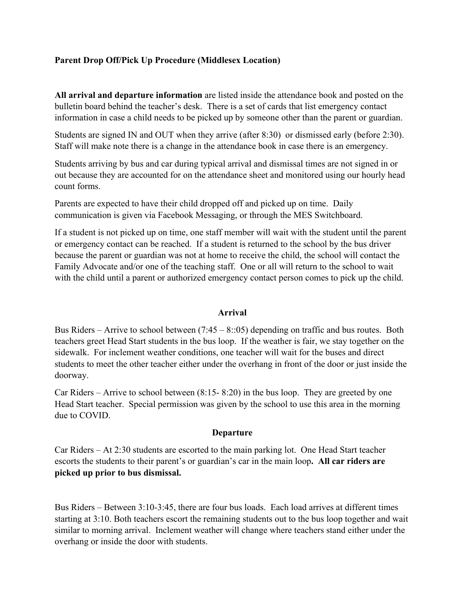## **Parent Drop Off/Pick Up Procedure (Middlesex Location)**

**All arrival and departure information** are listed inside the attendance book and posted on the bulletin board behind the teacher's desk. There is a set of cards that list emergency contact information in case a child needs to be picked up by someone other than the parent or guardian.

Students are signed IN and OUT when they arrive (after 8:30) or dismissed early (before 2:30). Staff will make note there is a change in the attendance book in case there is an emergency.

Students arriving by bus and car during typical arrival and dismissal times are not signed in or out because they are accounted for on the attendance sheet and monitored using our hourly head count forms.

Parents are expected to have their child dropped off and picked up on time. Daily communication is given via Facebook Messaging, or through the MES Switchboard.

If a student is not picked up on time, one staff member will wait with the student until the parent or emergency contact can be reached. If a student is returned to the school by the bus driver because the parent or guardian was not at home to receive the child, the school will contact the Family Advocate and/or one of the teaching staff. One or all will return to the school to wait with the child until a parent or authorized emergency contact person comes to pick up the child.

#### **Arrival**

Bus Riders – Arrive to school between  $(7:45 - 8::05)$  depending on traffic and bus routes. Both teachers greet Head Start students in the bus loop. If the weather is fair, we stay together on the sidewalk. For inclement weather conditions, one teacher will wait for the buses and direct students to meet the other teacher either under the overhang in front of the door or just inside the doorway.

Car Riders – Arrive to school between (8:15- 8:20) in the bus loop. They are greeted by one Head Start teacher. Special permission was given by the school to use this area in the morning due to COVID.

## **Departure**

Car Riders – At 2:30 students are escorted to the main parking lot. One Head Start teacher escorts the students to their parent's or guardian's car in the main loop**. All car riders are picked up prior to bus dismissal.**

Bus Riders – Between 3:10-3:45, there are four bus loads. Each load arrives at different times starting at 3:10. Both teachers escort the remaining students out to the bus loop together and wait similar to morning arrival. Inclement weather will change where teachers stand either under the overhang or inside the door with students.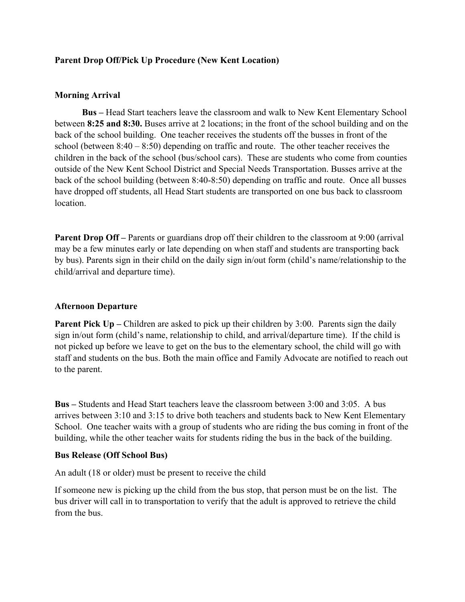#### **Parent Drop Off/Pick Up Procedure (New Kent Location)**

#### **Morning Arrival**

**Bus –** Head Start teachers leave the classroom and walk to New Kent Elementary School between **8:25 and 8:30.** Buses arrive at 2 locations; in the front of the school building and on the back of the school building. One teacher receives the students off the busses in front of the school (between 8:40 – 8:50) depending on traffic and route. The other teacher receives the children in the back of the school (bus/school cars). These are students who come from counties outside of the New Kent School District and Special Needs Transportation. Busses arrive at the back of the school building (between 8:40-8:50) depending on traffic and route. Once all busses have dropped off students, all Head Start students are transported on one bus back to classroom location.

**Parent Drop Off** – Parents or guardians drop off their children to the classroom at 9:00 (arrival may be a few minutes early or late depending on when staff and students are transporting back by bus). Parents sign in their child on the daily sign in/out form (child's name/relationship to the child/arrival and departure time).

#### **Afternoon Departure**

**Parent Pick Up** – Children are asked to pick up their children by 3:00. Parents sign the daily sign in/out form (child's name, relationship to child, and arrival/departure time). If the child is not picked up before we leave to get on the bus to the elementary school, the child will go with staff and students on the bus. Both the main office and Family Advocate are notified to reach out to the parent.

**Bus –** Students and Head Start teachers leave the classroom between 3:00 and 3:05. A bus arrives between 3:10 and 3:15 to drive both teachers and students back to New Kent Elementary School. One teacher waits with a group of students who are riding the bus coming in front of the building, while the other teacher waits for students riding the bus in the back of the building.

#### **Bus Release (Off School Bus)**

An adult (18 or older) must be present to receive the child

If someone new is picking up the child from the bus stop, that person must be on the list. The bus driver will call in to transportation to verify that the adult is approved to retrieve the child from the bus.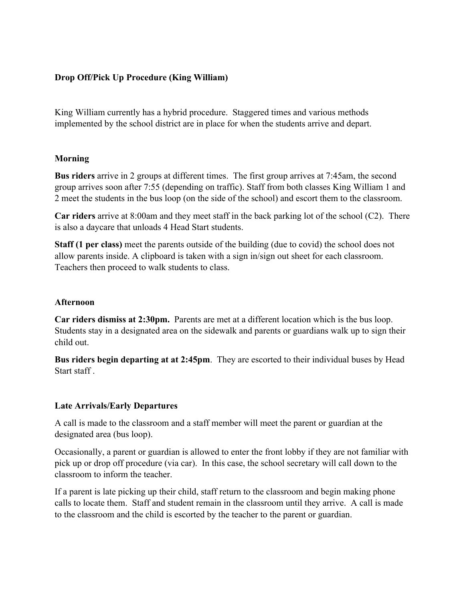## **Drop Off/Pick Up Procedure (King William)**

King William currently has a hybrid procedure. Staggered times and various methods implemented by the school district are in place for when the students arrive and depart.

## **Morning**

**Bus riders** arrive in 2 groups at different times. The first group arrives at 7:45am, the second group arrives soon after 7:55 (depending on traffic). Staff from both classes King William 1 and 2 meet the students in the bus loop (on the side of the school) and escort them to the classroom.

**Car riders** arrive at 8:00am and they meet staff in the back parking lot of the school (C2). There is also a daycare that unloads 4 Head Start students.

**Staff (1 per class)** meet the parents outside of the building (due to covid) the school does not allow parents inside. A clipboard is taken with a sign in/sign out sheet for each classroom. Teachers then proceed to walk students to class.

#### **Afternoon**

**Car riders dismiss at 2:30pm.** Parents are met at a different location which is the bus loop. Students stay in a designated area on the sidewalk and parents or guardians walk up to sign their child out.

**Bus riders begin departing at at 2:45pm**. They are escorted to their individual buses by Head Start staff .

## **Late Arrivals/Early Departures**

A call is made to the classroom and a staff member will meet the parent or guardian at the designated area (bus loop).

Occasionally, a parent or guardian is allowed to enter the front lobby if they are not familiar with pick up or drop off procedure (via car). In this case, the school secretary will call down to the classroom to inform the teacher.

If a parent is late picking up their child, staff return to the classroom and begin making phone calls to locate them. Staff and student remain in the classroom until they arrive. A call is made to the classroom and the child is escorted by the teacher to the parent or guardian.